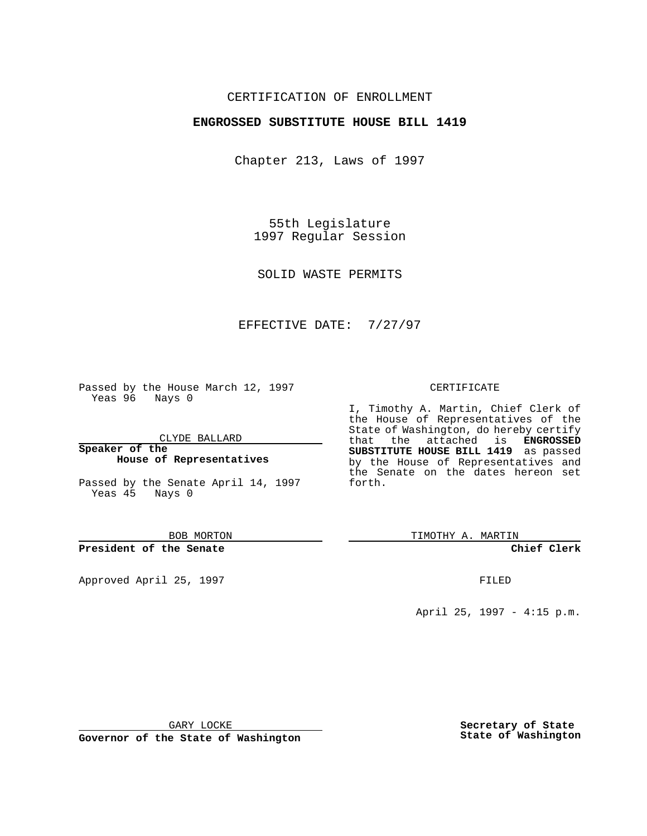## CERTIFICATION OF ENROLLMENT

## **ENGROSSED SUBSTITUTE HOUSE BILL 1419**

Chapter 213, Laws of 1997

55th Legislature 1997 Regular Session

SOLID WASTE PERMITS

## EFFECTIVE DATE: 7/27/97

Passed by the House March 12, 1997 Yeas 96 Nays 0

CLYDE BALLARD

**Speaker of the House of Representatives**

Passed by the Senate April 14, 1997 Yeas 45 Nays 0

BOB MORTON

**President of the Senate**

Approved April 25, 1997 **FILED** 

#### CERTIFICATE

I, Timothy A. Martin, Chief Clerk of the House of Representatives of the State of Washington, do hereby certify that the attached is **ENGROSSED SUBSTITUTE HOUSE BILL 1419** as passed by the House of Representatives and the Senate on the dates hereon set forth.

TIMOTHY A. MARTIN

**Chief Clerk**

April 25, 1997 - 4:15 p.m.

GARY LOCKE

**Governor of the State of Washington**

**Secretary of State State of Washington**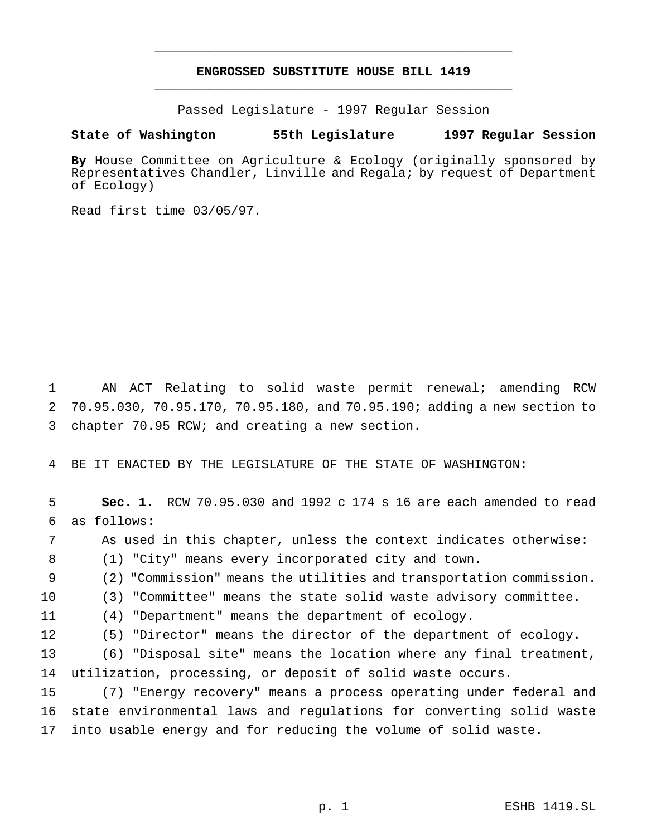# **ENGROSSED SUBSTITUTE HOUSE BILL 1419** \_\_\_\_\_\_\_\_\_\_\_\_\_\_\_\_\_\_\_\_\_\_\_\_\_\_\_\_\_\_\_\_\_\_\_\_\_\_\_\_\_\_\_\_\_\_\_

\_\_\_\_\_\_\_\_\_\_\_\_\_\_\_\_\_\_\_\_\_\_\_\_\_\_\_\_\_\_\_\_\_\_\_\_\_\_\_\_\_\_\_\_\_\_\_

Passed Legislature - 1997 Regular Session

## **State of Washington 55th Legislature 1997 Regular Session**

**By** House Committee on Agriculture & Ecology (originally sponsored by Representatives Chandler, Linville and Regala; by request of Department of Ecology)

Read first time 03/05/97.

 AN ACT Relating to solid waste permit renewal; amending RCW 70.95.030, 70.95.170, 70.95.180, and 70.95.190; adding a new section to chapter 70.95 RCW; and creating a new section.

BE IT ENACTED BY THE LEGISLATURE OF THE STATE OF WASHINGTON:

 **Sec. 1.** RCW 70.95.030 and 1992 c 174 s 16 are each amended to read as follows: As used in this chapter, unless the context indicates otherwise: (1) "City" means every incorporated city and town. (2) "Commission" means the utilities and transportation commission. (3) "Committee" means the state solid waste advisory committee. (4) "Department" means the department of ecology. (5) "Director" means the director of the department of ecology. (6) "Disposal site" means the location where any final treatment, utilization, processing, or deposit of solid waste occurs. (7) "Energy recovery" means a process operating under federal and state environmental laws and regulations for converting solid waste into usable energy and for reducing the volume of solid waste.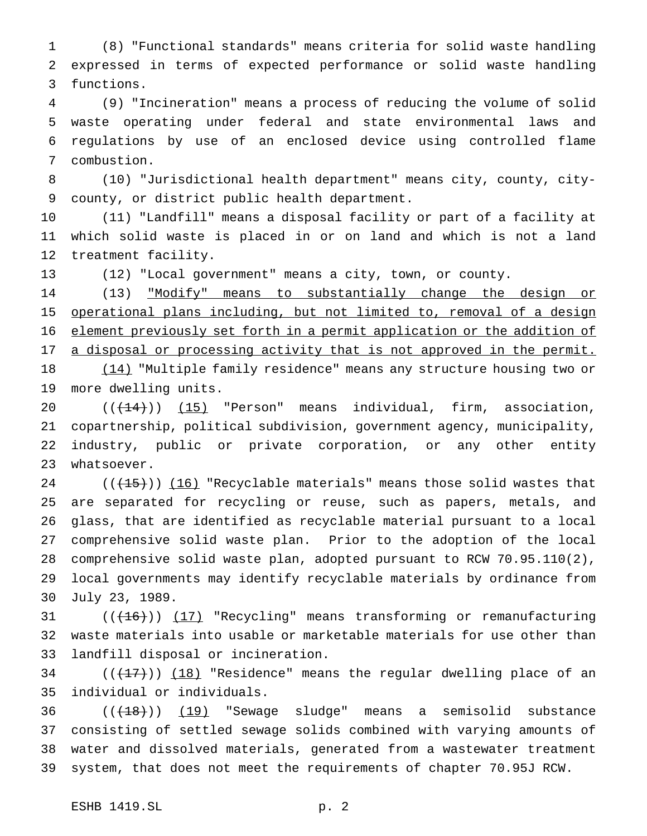(8) "Functional standards" means criteria for solid waste handling expressed in terms of expected performance or solid waste handling functions.

 (9) "Incineration" means a process of reducing the volume of solid waste operating under federal and state environmental laws and regulations by use of an enclosed device using controlled flame combustion.

 (10) "Jurisdictional health department" means city, county, city-county, or district public health department.

 (11) "Landfill" means a disposal facility or part of a facility at which solid waste is placed in or on land and which is not a land treatment facility.

(12) "Local government" means a city, town, or county.

14 (13) <u>"Modify" means to substantially change the design or</u> operational plans including, but not limited to, removal of a design element previously set forth in a permit application or the addition of 17 a disposal or processing activity that is not approved in the permit.

 (14) "Multiple family residence" means any structure housing two or more dwelling units.

 $((+14))$   $(15)$  "Person" means individual, firm, association, copartnership, political subdivision, government agency, municipality, industry, public or private corporation, or any other entity whatsoever.

 $((+15))$   $(16)$  "Recyclable materials" means those solid wastes that are separated for recycling or reuse, such as papers, metals, and glass, that are identified as recyclable material pursuant to a local comprehensive solid waste plan. Prior to the adoption of the local comprehensive solid waste plan, adopted pursuant to RCW 70.95.110(2), local governments may identify recyclable materials by ordinance from July 23, 1989.

31  $((+16))$   $(17)$  "Recycling" means transforming or remanufacturing waste materials into usable or marketable materials for use other than landfill disposal or incineration.

34  $((+17))$   $(18)$  "Residence" means the regular dwelling place of an individual or individuals.

 $((+18))$   $(19)$  "Sewage sludge" means a semisolid substance consisting of settled sewage solids combined with varying amounts of water and dissolved materials, generated from a wastewater treatment system, that does not meet the requirements of chapter 70.95J RCW.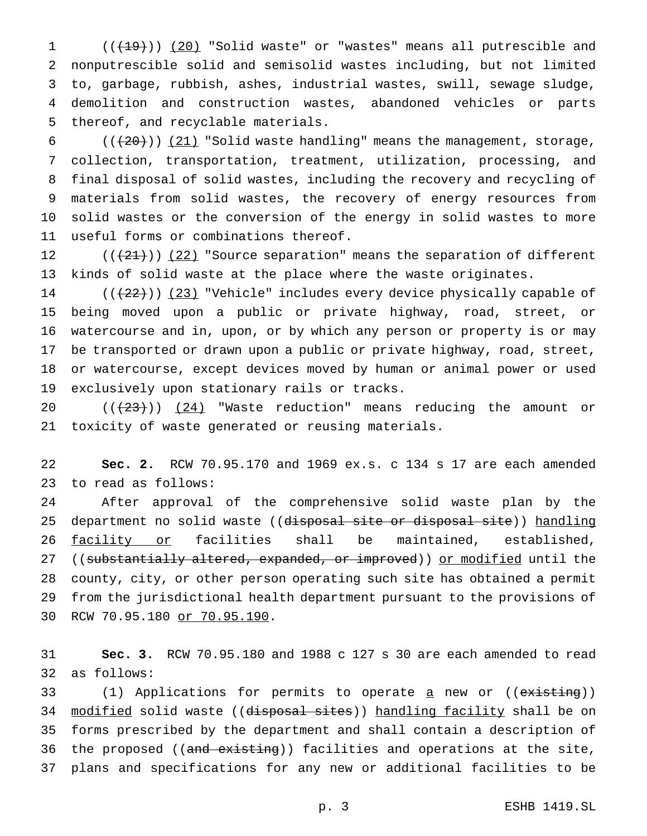1 (( $\left(\frac{19}{19}\right)$ ) (20) "Solid waste" or "wastes" means all putrescible and nonputrescible solid and semisolid wastes including, but not limited to, garbage, rubbish, ashes, industrial wastes, swill, sewage sludge, demolition and construction wastes, abandoned vehicles or parts thereof, and recyclable materials.

 $((+20))$   $(21)$  "Solid waste handling" means the management, storage, collection, transportation, treatment, utilization, processing, and final disposal of solid wastes, including the recovery and recycling of materials from solid wastes, the recovery of energy resources from solid wastes or the conversion of the energy in solid wastes to more useful forms or combinations thereof.

 $((+21))$   $(22)$  "Source separation" means the separation of different kinds of solid waste at the place where the waste originates.

 $((+22))$   $(23)$  "Vehicle" includes every device physically capable of being moved upon a public or private highway, road, street, or watercourse and in, upon, or by which any person or property is or may be transported or drawn upon a public or private highway, road, street, or watercourse, except devices moved by human or animal power or used exclusively upon stationary rails or tracks.

 $((+23))$   $(24)$  "Waste reduction" means reducing the amount or toxicity of waste generated or reusing materials.

 **Sec. 2.** RCW 70.95.170 and 1969 ex.s. c 134 s 17 are each amended to read as follows:

 After approval of the comprehensive solid waste plan by the 25 department no solid waste ((disposal site or disposal site)) handling 26 facility or facilities shall be maintained, established, 27 ((substantially altered, expanded, or improved)) or modified until the county, city, or other person operating such site has obtained a permit from the jurisdictional health department pursuant to the provisions of RCW 70.95.180 or 70.95.190.

 **Sec. 3.** RCW 70.95.180 and 1988 c 127 s 30 are each amended to read as follows:

33 (1) Applications for permits to operate <u>a</u> new or ((existing)) 34 modified solid waste ((disposal sites)) handling facility shall be on forms prescribed by the department and shall contain a description of 36 the proposed ((and existing)) facilities and operations at the site, plans and specifications for any new or additional facilities to be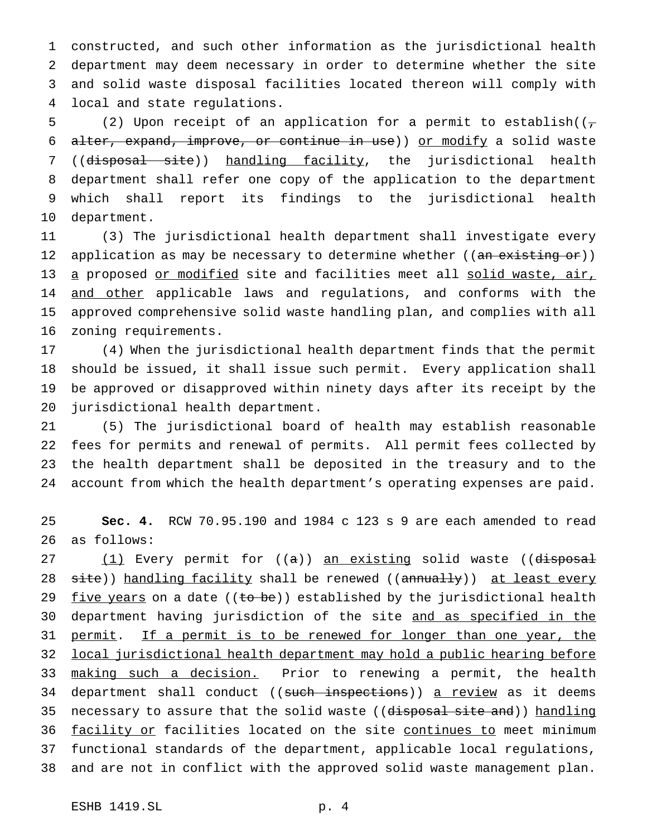constructed, and such other information as the jurisdictional health department may deem necessary in order to determine whether the site and solid waste disposal facilities located thereon will comply with local and state regulations.

5 (2) Upon receipt of an application for a permit to establish( $(\tau$ 6 alter, expand, improve, or continue in use)) or modify a solid waste 7 ((disposal site)) handling facility, the jurisdictional health department shall refer one copy of the application to the department which shall report its findings to the jurisdictional health department.

 (3) The jurisdictional health department shall investigate every 12 application as may be necessary to determine whether ((an existing or)) 13 a proposed or modified site and facilities meet all solid waste, air, 14 and other applicable laws and regulations, and conforms with the approved comprehensive solid waste handling plan, and complies with all zoning requirements.

 (4) When the jurisdictional health department finds that the permit should be issued, it shall issue such permit. Every application shall be approved or disapproved within ninety days after its receipt by the jurisdictional health department.

 (5) The jurisdictional board of health may establish reasonable fees for permits and renewal of permits. All permit fees collected by the health department shall be deposited in the treasury and to the account from which the health department's operating expenses are paid.

 **Sec. 4.** RCW 70.95.190 and 1984 c 123 s 9 are each amended to read as follows:

27 (1) Every permit for ((a)) <u>an existing</u> solid waste ((d<del>isposal</del> 28 site)) handling facility shall be renewed ((annually)) at least every 29 five years on a date ( $(\pm \sigma b e)$ ) established by the jurisdictional health department having jurisdiction of the site and as specified in the 31 permit. If a permit is to be renewed for longer than one year, the local jurisdictional health department may hold a public hearing before 33 making such a decision. Prior to renewing a permit, the health 34 department shall conduct ((such inspections)) a review as it deems 35 necessary to assure that the solid waste ((disposal site and)) handling 36 facility or facilities located on the site continues to meet minimum functional standards of the department, applicable local regulations, and are not in conflict with the approved solid waste management plan.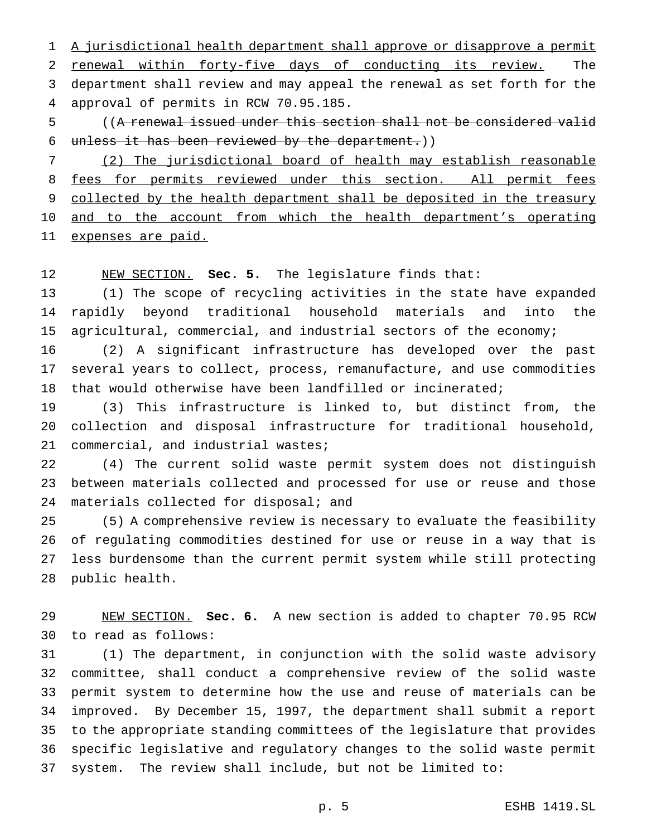A jurisdictional health department shall approve or disapprove a permit renewal within forty-five days of conducting its review. The department shall review and may appeal the renewal as set forth for the approval of permits in RCW 70.95.185.

 ((A renewal issued under this section shall not be considered valid unless it has been reviewed by the department.))

 (2) The jurisdictional board of health may establish reasonable 8 fees for permits reviewed under this section. All permit fees 9 collected by the health department shall be deposited in the treasury 10 and to the account from which the health department's operating expenses are paid.

NEW SECTION. **Sec. 5.** The legislature finds that:

 (1) The scope of recycling activities in the state have expanded rapidly beyond traditional household materials and into the agricultural, commercial, and industrial sectors of the economy;

 (2) A significant infrastructure has developed over the past several years to collect, process, remanufacture, and use commodities that would otherwise have been landfilled or incinerated;

 (3) This infrastructure is linked to, but distinct from, the collection and disposal infrastructure for traditional household, commercial, and industrial wastes;

 (4) The current solid waste permit system does not distinguish between materials collected and processed for use or reuse and those 24 materials collected for disposal; and

 (5) A comprehensive review is necessary to evaluate the feasibility of regulating commodities destined for use or reuse in a way that is less burdensome than the current permit system while still protecting public health.

 NEW SECTION. **Sec. 6.** A new section is added to chapter 70.95 RCW to read as follows:

 (1) The department, in conjunction with the solid waste advisory committee, shall conduct a comprehensive review of the solid waste permit system to determine how the use and reuse of materials can be improved. By December 15, 1997, the department shall submit a report to the appropriate standing committees of the legislature that provides specific legislative and regulatory changes to the solid waste permit system. The review shall include, but not be limited to: